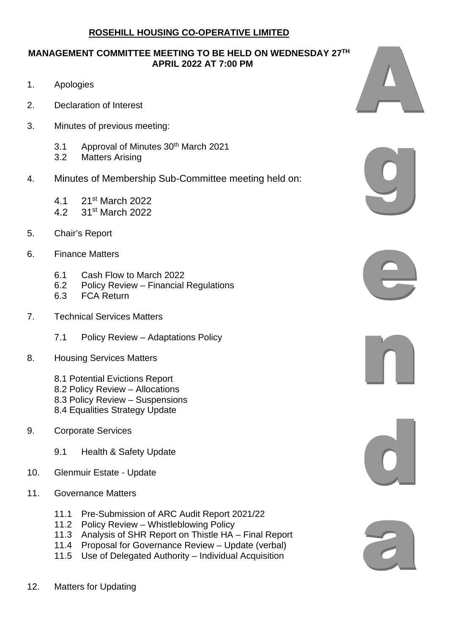## **ROSEHILL HOUSING CO-OPERATIVE LIMITED**

## **MANAGEMENT COMMITTEE MEETING TO BE HELD ON WEDNESDAY 27TH APRIL 2022 AT 7:00 PM**

- 1. Apologies
- 2. Declaration of Interest
- 3. Minutes of previous meeting:
	- 3.1 Approval of Minutes 30th March 2021
	- 3.2 Matters Arising
- 4. Minutes of Membership Sub-Committee meeting held on:
	- 4.1 21st March 2022
	- 4.2 31st March 2022
- 5. Chair's Report
- 6. Finance Matters
	- 6.1 Cash Flow to March 2022
	- 6.2 Policy Review Financial Regulations<br>6.3 FCA Return
	- **FCA** Return
- 7. Technical Services Matters
	- 7.1 Policy Review Adaptations Policy
- 8. Housing Services Matters
	- 8.1 Potential Evictions Report
	- 8.2 Policy Review Allocations
	- 8.3 Policy Review Suspensions
	- 8.4 Equalities Strategy Update
- 9. Corporate Services
	- 9.1 Health & Safety Update
- 10. Glenmuir Estate Update
- 11. Governance Matters
	- 11.1 Pre-Submission of ARC Audit Report 2021/22
	- 11.2 Policy Review Whistleblowing Policy
	- 11.3 Analysis of SHR Report on Thistle HA Final Report 11.4 Proposal for Governance Review Update (verbal)
	- Proposal for Governance Review Update (verbal)
	- 11.5 Use of Delegated Authority Individual Acquisition











12. Matters for Updating